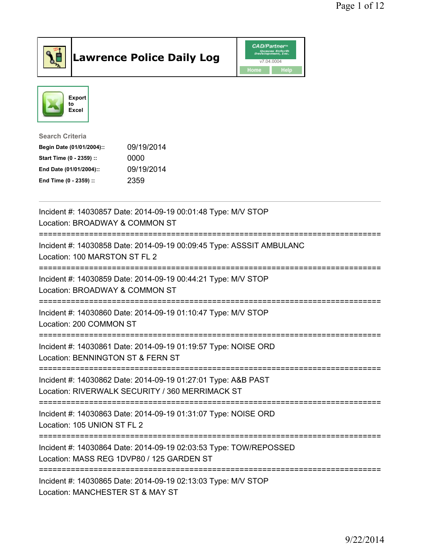

## Lawrence Police Daily Log **Daniel CAD/Partner**





Search Criteria Begin Date (01/01/2004):: 09/19/2014 Start Time (0 - 2359) :: 0000 End Date (01/01/2004):: 09/19/2014 End Time (0 - 2359) :: 2359

| Incident #: 14030857 Date: 2014-09-19 00:01:48 Type: M/V STOP<br>Location: BROADWAY & COMMON ST                                              |
|----------------------------------------------------------------------------------------------------------------------------------------------|
| Incident #: 14030858 Date: 2014-09-19 00:09:45 Type: ASSSIT AMBULANC<br>Location: 100 MARSTON ST FL 2<br>:================================== |
| Incident #: 14030859 Date: 2014-09-19 00:44:21 Type: M/V STOP<br>Location: BROADWAY & COMMON ST                                              |
| Incident #: 14030860 Date: 2014-09-19 01:10:47 Type: M/V STOP<br>Location: 200 COMMON ST                                                     |
| Incident #: 14030861 Date: 2014-09-19 01:19:57 Type: NOISE ORD<br>Location: BENNINGTON ST & FERN ST<br>:======================               |
| Incident #: 14030862 Date: 2014-09-19 01:27:01 Type: A&B PAST<br>Location: RIVERWALK SECURITY / 360 MERRIMACK ST                             |
| Incident #: 14030863 Date: 2014-09-19 01:31:07 Type: NOISE ORD<br>Location: 105 UNION ST FL 2                                                |
| Incident #: 14030864 Date: 2014-09-19 02:03:53 Type: TOW/REPOSSED<br>Location: MASS REG 1DVP80 / 125 GARDEN ST                               |
| Incident #: 14030865 Date: 2014-09-19 02:13:03 Type: M/V STOP<br>Location: MANCHESTER ST & MAY ST                                            |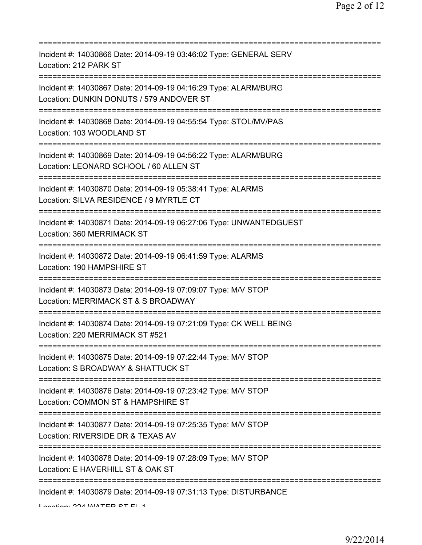| Incident #: 14030866 Date: 2014-09-19 03:46:02 Type: GENERAL SERV<br>Location: 212 PARK ST                                                   |
|----------------------------------------------------------------------------------------------------------------------------------------------|
| Incident #: 14030867 Date: 2014-09-19 04:16:29 Type: ALARM/BURG<br>Location: DUNKIN DONUTS / 579 ANDOVER ST<br>============================= |
| Incident #: 14030868 Date: 2014-09-19 04:55:54 Type: STOL/MV/PAS<br>Location: 103 WOODLAND ST<br>======================================      |
| Incident #: 14030869 Date: 2014-09-19 04:56:22 Type: ALARM/BURG<br>Location: LEONARD SCHOOL / 60 ALLEN ST                                    |
| Incident #: 14030870 Date: 2014-09-19 05:38:41 Type: ALARMS<br>Location: SILVA RESIDENCE / 9 MYRTLE CT                                       |
| Incident #: 14030871 Date: 2014-09-19 06:27:06 Type: UNWANTEDGUEST<br>Location: 360 MERRIMACK ST<br>====================================     |
| Incident #: 14030872 Date: 2014-09-19 06:41:59 Type: ALARMS<br>Location: 190 HAMPSHIRE ST                                                    |
| Incident #: 14030873 Date: 2014-09-19 07:09:07 Type: M/V STOP<br>Location: MERRIMACK ST & S BROADWAY                                         |
| Incident #: 14030874 Date: 2014-09-19 07:21:09 Type: CK WELL BEING<br>Location: 220 MERRIMACK ST #521                                        |
| Incident #: 14030875 Date: 2014-09-19 07:22:44 Type: M/V STOP<br>Location: S BROADWAY & SHATTUCK ST                                          |
| Incident #: 14030876 Date: 2014-09-19 07:23:42 Type: M/V STOP<br>Location: COMMON ST & HAMPSHIRE ST                                          |
| Incident #: 14030877 Date: 2014-09-19 07:25:35 Type: M/V STOP<br>Location: RIVERSIDE DR & TEXAS AV                                           |
| Incident #: 14030878 Date: 2014-09-19 07:28:09 Type: M/V STOP<br>Location: E HAVERHILL ST & OAK ST                                           |
| Incident #: 14030879 Date: 2014-09-19 07:31:13 Type: DISTURBANCE                                                                             |

Location: 224 WATER CT FL 4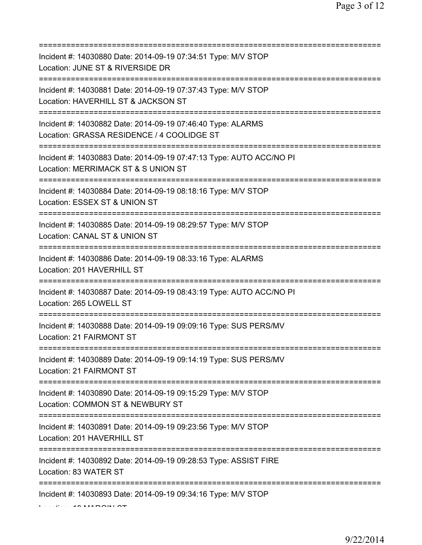| Incident #: 14030880 Date: 2014-09-19 07:34:51 Type: M/V STOP<br>Location: JUNE ST & RIVERSIDE DR<br>========================                      |
|----------------------------------------------------------------------------------------------------------------------------------------------------|
| Incident #: 14030881 Date: 2014-09-19 07:37:43 Type: M/V STOP<br>Location: HAVERHILL ST & JACKSON ST                                               |
| Incident #: 14030882 Date: 2014-09-19 07:46:40 Type: ALARMS<br>Location: GRASSA RESIDENCE / 4 COOLIDGE ST<br>===================================== |
| Incident #: 14030883 Date: 2014-09-19 07:47:13 Type: AUTO ACC/NO PI<br>Location: MERRIMACK ST & S UNION ST                                         |
| Incident #: 14030884 Date: 2014-09-19 08:18:16 Type: M/V STOP<br>Location: ESSEX ST & UNION ST<br>--------------------------                       |
| Incident #: 14030885 Date: 2014-09-19 08:29:57 Type: M/V STOP<br>Location: CANAL ST & UNION ST                                                     |
| Incident #: 14030886 Date: 2014-09-19 08:33:16 Type: ALARMS<br>Location: 201 HAVERHILL ST<br>====================================                  |
| Incident #: 14030887 Date: 2014-09-19 08:43:19 Type: AUTO ACC/NO PI<br>Location: 265 LOWELL ST                                                     |
| Incident #: 14030888 Date: 2014-09-19 09:09:16 Type: SUS PERS/MV<br>Location: 21 FAIRMONT ST                                                       |
| Incident #: 14030889 Date: 2014-09-19 09:14:19 Type: SUS PERS/MV<br>Location: 21 FAIRMONT ST                                                       |
| Incident #: 14030890 Date: 2014-09-19 09:15:29 Type: M/V STOP<br>Location: COMMON ST & NEWBURY ST                                                  |
| Incident #: 14030891 Date: 2014-09-19 09:23:56 Type: M/V STOP<br>Location: 201 HAVERHILL ST                                                        |
| Incident #: 14030892 Date: 2014-09-19 09:28:53 Type: ASSIST FIRE<br>Location: 83 WATER ST                                                          |
| Incident #: 14030893 Date: 2014-09-19 09:34:16 Type: M/V STOP                                                                                      |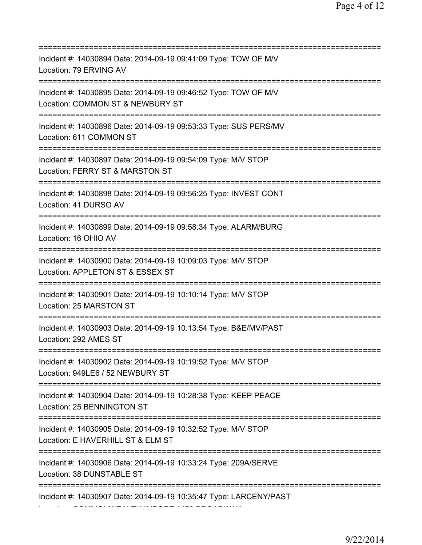=========================================================================== Incident #: 14030894 Date: 2014-09-19 09:41:09 Type: TOW OF M/V Location: 79 ERVING AV =========================================================================== Incident #: 14030895 Date: 2014-09-19 09:46:52 Type: TOW OF M/V Location: COMMON ST & NEWBURY ST =========================================================================== Incident #: 14030896 Date: 2014-09-19 09:53:33 Type: SUS PERS/MV Location: 611 COMMON ST =========================================================================== Incident #: 14030897 Date: 2014-09-19 09:54:09 Type: M/V STOP Location: FERRY ST & MARSTON ST =========================================================================== Incident #: 14030898 Date: 2014-09-19 09:56:25 Type: INVEST CONT Location: 41 DURSO AV =========================================================================== Incident #: 14030899 Date: 2014-09-19 09:58:34 Type: ALARM/BURG Location: 16 OHIO AV =========================================================================== Incident #: 14030900 Date: 2014-09-19 10:09:03 Type: M/V STOP Location: APPLETON ST & ESSEX ST =========================================================================== Incident #: 14030901 Date: 2014-09-19 10:10:14 Type: M/V STOP Location: 25 MARSTON ST =========================================================================== Incident #: 14030903 Date: 2014-09-19 10:13:54 Type: B&E/MV/PAST Location: 292 AMES ST =========================================================================== Incident #: 14030902 Date: 2014-09-19 10:19:52 Type: M/V STOP Location: 949LE6 / 52 NEWBURY ST =========================================================================== Incident #: 14030904 Date: 2014-09-19 10:28:38 Type: KEEP PEACE Location: 25 BENNINGTON ST =========================================================================== Incident #: 14030905 Date: 2014-09-19 10:32:52 Type: M/V STOP Location: E HAVERHILL ST & ELM ST =========================================================================== Incident #: 14030906 Date: 2014-09-19 10:33:24 Type: 209A/SERVE Location: 38 DUNSTABLE ST =========================================================================== Incident #: 14030907 Date: 2014-09-19 10:35:47 Type: LARCENY/PAST Location: COMMONWEALTH IMPORT / 479 BROADWAY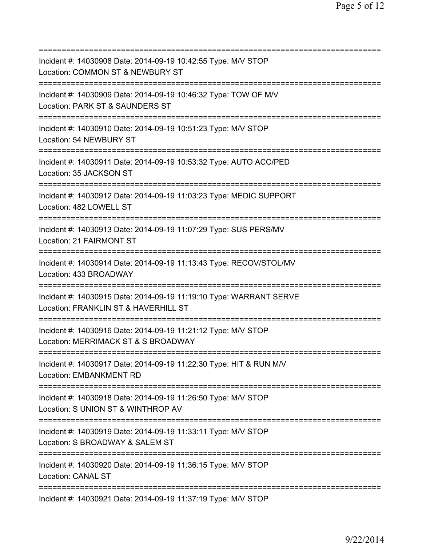| Incident #: 14030908 Date: 2014-09-19 10:42:55 Type: M/V STOP<br>Location: COMMON ST & NEWBURY ST                                    |
|--------------------------------------------------------------------------------------------------------------------------------------|
| Incident #: 14030909 Date: 2014-09-19 10:46:32 Type: TOW OF M/V<br>Location: PARK ST & SAUNDERS ST<br>======================         |
| Incident #: 14030910 Date: 2014-09-19 10:51:23 Type: M/V STOP<br>Location: 54 NEWBURY ST<br>====================================     |
| Incident #: 14030911 Date: 2014-09-19 10:53:32 Type: AUTO ACC/PED<br>Location: 35 JACKSON ST<br>==================================== |
| Incident #: 14030912 Date: 2014-09-19 11:03:23 Type: MEDIC SUPPORT<br>Location: 482 LOWELL ST                                        |
| Incident #: 14030913 Date: 2014-09-19 11:07:29 Type: SUS PERS/MV<br>Location: 21 FAIRMONT ST                                         |
| Incident #: 14030914 Date: 2014-09-19 11:13:43 Type: RECOV/STOL/MV<br>Location: 433 BROADWAY<br>=============                        |
| Incident #: 14030915 Date: 2014-09-19 11:19:10 Type: WARRANT SERVE<br>Location: FRANKLIN ST & HAVERHILL ST                           |
| Incident #: 14030916 Date: 2014-09-19 11:21:12 Type: M/V STOP<br>Location: MERRIMACK ST & S BROADWAY                                 |
| Incident #: 14030917 Date: 2014-09-19 11:22:30 Type: HIT & RUN M/V<br><b>Location: EMBANKMENT RD</b>                                 |
| Incident #: 14030918 Date: 2014-09-19 11:26:50 Type: M/V STOP<br>Location: S UNION ST & WINTHROP AV                                  |
| Incident #: 14030919 Date: 2014-09-19 11:33:11 Type: M/V STOP<br>Location: S BROADWAY & SALEM ST                                     |
| Incident #: 14030920 Date: 2014-09-19 11:36:15 Type: M/V STOP<br><b>Location: CANAL ST</b>                                           |
| Incident #: 14030921 Date: 2014-09-19 11:37:19 Type: M/V STOP                                                                        |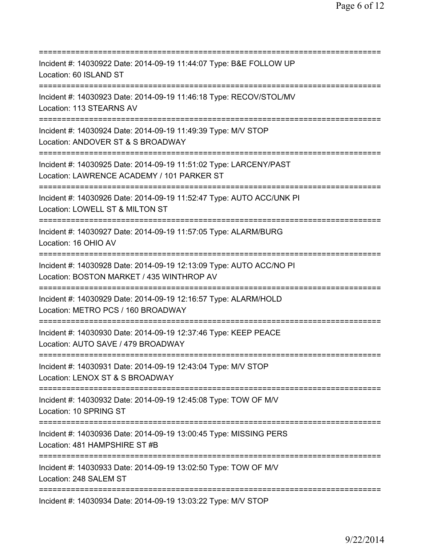=========================================================================== Incident #: 14030922 Date: 2014-09-19 11:44:07 Type: B&E FOLLOW UP Location: 60 ISLAND ST =========================================================================== Incident #: 14030923 Date: 2014-09-19 11:46:18 Type: RECOV/STOL/MV Location: 113 STEARNS AV =========================================================================== Incident #: 14030924 Date: 2014-09-19 11:49:39 Type: M/V STOP Location: ANDOVER ST & S BROADWAY =========================================================================== Incident #: 14030925 Date: 2014-09-19 11:51:02 Type: LARCENY/PAST Location: LAWRENCE ACADEMY / 101 PARKER ST =========================================================================== Incident #: 14030926 Date: 2014-09-19 11:52:47 Type: AUTO ACC/UNK PI Location: LOWELL ST & MILTON ST =========================================================================== Incident #: 14030927 Date: 2014-09-19 11:57:05 Type: ALARM/BURG Location: 16 OHIO AV =========================================================================== Incident #: 14030928 Date: 2014-09-19 12:13:09 Type: AUTO ACC/NO PI Location: BOSTON MARKET / 435 WINTHROP AV =========================================================================== Incident #: 14030929 Date: 2014-09-19 12:16:57 Type: ALARM/HOLD Location: METRO PCS / 160 BROADWAY =========================================================================== Incident #: 14030930 Date: 2014-09-19 12:37:46 Type: KEEP PEACE Location: AUTO SAVE / 479 BROADWAY =========================================================================== Incident #: 14030931 Date: 2014-09-19 12:43:04 Type: M/V STOP Location: LENOX ST & S BROADWAY =========================================================================== Incident #: 14030932 Date: 2014-09-19 12:45:08 Type: TOW OF M/V Location: 10 SPRING ST =========================================================================== Incident #: 14030936 Date: 2014-09-19 13:00:45 Type: MISSING PERS Location: 481 HAMPSHIRE ST #B =========================================================================== Incident #: 14030933 Date: 2014-09-19 13:02:50 Type: TOW OF M/V Location: 248 SALEM ST =========================================================================== Incident #: 14030934 Date: 2014-09-19 13:03:22 Type: M/V STOP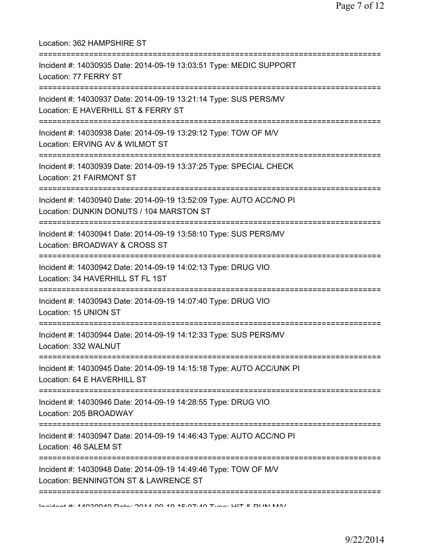| Location: 362 HAMPSHIRE ST<br>====================                                                                               |
|----------------------------------------------------------------------------------------------------------------------------------|
| Incident #: 14030935 Date: 2014-09-19 13:03:51 Type: MEDIC SUPPORT<br>Location: 77 FERRY ST                                      |
| Incident #: 14030937 Date: 2014-09-19 13:21:14 Type: SUS PERS/MV<br>Location: E HAVERHILL ST & FERRY ST                          |
| Incident #: 14030938 Date: 2014-09-19 13:29:12 Type: TOW OF M/V<br>Location: ERVING AV & WILMOT ST                               |
| Incident #: 14030939 Date: 2014-09-19 13:37:25 Type: SPECIAL CHECK<br>Location: 21 FAIRMONT ST<br>============================== |
| Incident #: 14030940 Date: 2014-09-19 13:52:09 Type: AUTO ACC/NO PI<br>Location: DUNKIN DONUTS / 104 MARSTON ST                  |
| Incident #: 14030941 Date: 2014-09-19 13:58:10 Type: SUS PERS/MV<br>Location: BROADWAY & CROSS ST                                |
| Incident #: 14030942 Date: 2014-09-19 14:02:13 Type: DRUG VIO<br>Location: 34 HAVERHILL ST FL 1ST                                |
| Incident #: 14030943 Date: 2014-09-19 14:07:40 Type: DRUG VIO<br>Location: 15 UNION ST                                           |
| Incident #: 14030944 Date: 2014-09-19 14:12:33 Type: SUS PERS/MV<br>Location: 332 WALNUT                                         |
| Incident #: 14030945 Date: 2014-09-19 14:15:18 Type: AUTO ACC/UNK PI<br>Location: 64 E HAVERHILL ST                              |
| Incident #: 14030946 Date: 2014-09-19 14:28:55 Type: DRUG VIO<br>Location: 205 BROADWAY                                          |
| Incident #: 14030947 Date: 2014-09-19 14:46:43 Type: AUTO ACC/NO PI<br>Location: 46 SALEM ST                                     |
| Incident #: 14030948 Date: 2014-09-19 14:49:46 Type: TOW OF M/V<br>Location: BENNINGTON ST & LAWRENCE ST                         |
| Indidn't #: 4 4090040 Data: 9044 00 40 4E-07:40 Tuna: LIIT 0 DIINI MAI                                                           |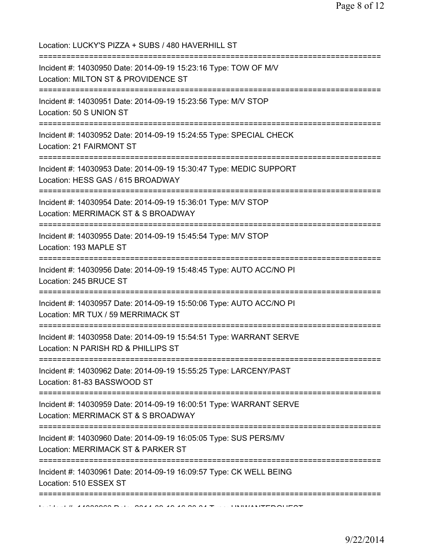| Location: LUCKY'S PIZZA + SUBS / 480 HAVERHILL ST                                                                                                  |
|----------------------------------------------------------------------------------------------------------------------------------------------------|
| Incident #: 14030950 Date: 2014-09-19 15:23:16 Type: TOW OF M/V<br>Location: MILTON ST & PROVIDENCE ST                                             |
| Incident #: 14030951 Date: 2014-09-19 15:23:56 Type: M/V STOP<br>Location: 50 S UNION ST                                                           |
| Incident #: 14030952 Date: 2014-09-19 15:24:55 Type: SPECIAL CHECK<br>Location: 21 FAIRMONT ST                                                     |
| Incident #: 14030953 Date: 2014-09-19 15:30:47 Type: MEDIC SUPPORT<br>Location: HESS GAS / 615 BROADWAY                                            |
| Incident #: 14030954 Date: 2014-09-19 15:36:01 Type: M/V STOP<br>Location: MERRIMACK ST & S BROADWAY<br>==============================             |
| Incident #: 14030955 Date: 2014-09-19 15:45:54 Type: M/V STOP<br>Location: 193 MAPLE ST                                                            |
| Incident #: 14030956 Date: 2014-09-19 15:48:45 Type: AUTO ACC/NO PI<br>Location: 245 BRUCE ST                                                      |
| =====================================<br>Incident #: 14030957 Date: 2014-09-19 15:50:06 Type: AUTO ACC/NO PI<br>Location: MR TUX / 59 MERRIMACK ST |
| Incident #: 14030958 Date: 2014-09-19 15:54:51 Type: WARRANT SERVE<br>Location: N PARISH RD & PHILLIPS ST                                          |
| Incident #: 14030962 Date: 2014-09-19 15:55:25 Type: LARCENY/PAST<br>Location: 81-83 BASSWOOD ST                                                   |
| Incident #: 14030959 Date: 2014-09-19 16:00:51 Type: WARRANT SERVE<br>Location: MERRIMACK ST & S BROADWAY                                          |
| Incident #: 14030960 Date: 2014-09-19 16:05:05 Type: SUS PERS/MV<br>Location: MERRIMACK ST & PARKER ST                                             |
| Incident #: 14030961 Date: 2014-09-19 16:09:57 Type: CK WELL BEING<br>Location: 510 ESSEX ST                                                       |
|                                                                                                                                                    |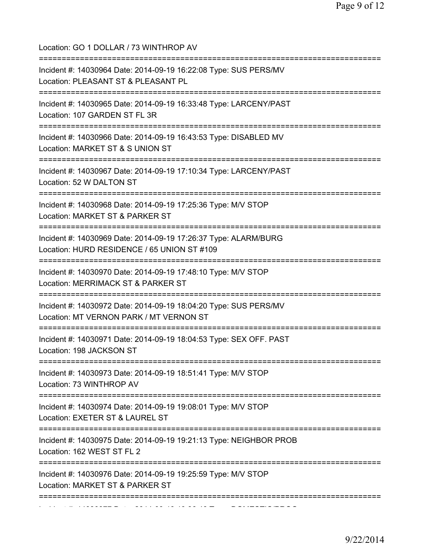| Location: GO 1 DOLLAR / 73 WINTHROP AV<br>===============                                                                |
|--------------------------------------------------------------------------------------------------------------------------|
| Incident #: 14030964 Date: 2014-09-19 16:22:08 Type: SUS PERS/MV<br>Location: PLEASANT ST & PLEASANT PL                  |
| Incident #: 14030965 Date: 2014-09-19 16:33:48 Type: LARCENY/PAST<br>Location: 107 GARDEN ST FL 3R                       |
| Incident #: 14030966 Date: 2014-09-19 16:43:53 Type: DISABLED MV<br>Location: MARKET ST & S UNION ST                     |
| Incident #: 14030967 Date: 2014-09-19 17:10:34 Type: LARCENY/PAST<br>Location: 52 W DALTON ST                            |
| Incident #: 14030968 Date: 2014-09-19 17:25:36 Type: M/V STOP<br>Location: MARKET ST & PARKER ST<br>-------------------- |
| Incident #: 14030969 Date: 2014-09-19 17:26:37 Type: ALARM/BURG<br>Location: HURD RESIDENCE / 65 UNION ST #109           |
| Incident #: 14030970 Date: 2014-09-19 17:48:10 Type: M/V STOP<br>Location: MERRIMACK ST & PARKER ST                      |
| Incident #: 14030972 Date: 2014-09-19 18:04:20 Type: SUS PERS/MV<br>Location: MT VERNON PARK / MT VERNON ST              |
| =================<br>Incident #: 14030971 Date: 2014-09-19 18:04:53 Type: SEX OFF. PAST<br>Location: 198 JACKSON ST      |
| Incident #: 14030973 Date: 2014-09-19 18:51:41 Type: M/V STOP<br>Location: 73 WINTHROP AV                                |
| :===============<br>Incident #: 14030974 Date: 2014-09-19 19:08:01 Type: M/V STOP<br>Location: EXETER ST & LAUREL ST     |
| Incident #: 14030975 Date: 2014-09-19 19:21:13 Type: NEIGHBOR PROB<br>Location: 162 WEST ST FL 2                         |
| Incident #: 14030976 Date: 2014-09-19 19:25:59 Type: M/V STOP<br>Location: MARKET ST & PARKER ST                         |
|                                                                                                                          |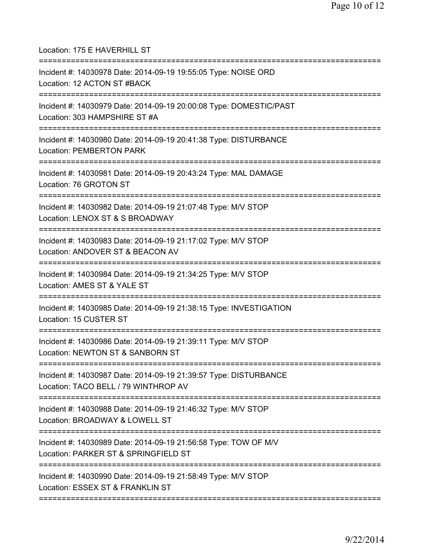Location: 175 E HAVERHILL ST =========================================================================== Incident #: 14030978 Date: 2014-09-19 19:55:05 Type: NOISE ORD Location: 12 ACTON ST #BACK =========================================================================== Incident #: 14030979 Date: 2014-09-19 20:00:08 Type: DOMESTIC/PAST Location: 303 HAMPSHIRE ST #A =========================================================================== Incident #: 14030980 Date: 2014-09-19 20:41:38 Type: DISTURBANCE Location: PEMBERTON PARK =========================================================================== Incident #: 14030981 Date: 2014-09-19 20:43:24 Type: MAL DAMAGE Location: 76 GROTON ST =========================================================================== Incident #: 14030982 Date: 2014-09-19 21:07:48 Type: M/V STOP Location: LENOX ST & S BROADWAY =========================================================================== Incident #: 14030983 Date: 2014-09-19 21:17:02 Type: M/V STOP Location: ANDOVER ST & BEACON AV =========================================================================== Incident #: 14030984 Date: 2014-09-19 21:34:25 Type: M/V STOP Location: AMES ST & YALE ST =========================================================================== Incident #: 14030985 Date: 2014-09-19 21:38:15 Type: INVESTIGATION Location: 15 CUSTER ST =========================================================================== Incident #: 14030986 Date: 2014-09-19 21:39:11 Type: M/V STOP Location: NEWTON ST & SANBORN ST =========================================================================== Incident #: 14030987 Date: 2014-09-19 21:39:57 Type: DISTURBANCE Location: TACO BELL / 79 WINTHROP AV =========================================================================== Incident #: 14030988 Date: 2014-09-19 21:46:32 Type: M/V STOP Location: BROADWAY & LOWELL ST =========================================================================== Incident #: 14030989 Date: 2014-09-19 21:56:58 Type: TOW OF M/V Location: PARKER ST & SPRINGFIELD ST =========================================================================== Incident #: 14030990 Date: 2014-09-19 21:58:49 Type: M/V STOP Location: ESSEX ST & FRANKLIN ST ===========================================================================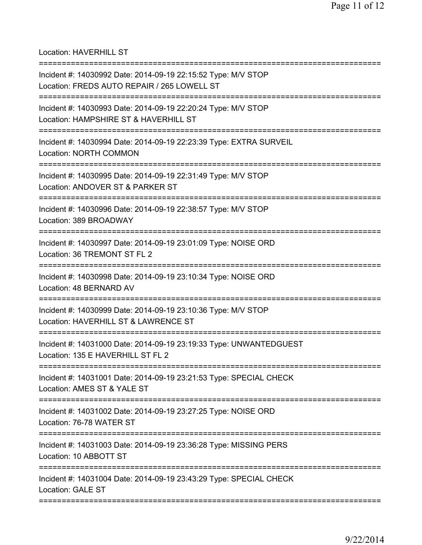Location: HAVERHILL ST

| Incident #: 14030992 Date: 2014-09-19 22:15:52 Type: M/V STOP<br>Location: FREDS AUTO REPAIR / 265 LOWELL ST                                 |
|----------------------------------------------------------------------------------------------------------------------------------------------|
| Incident #: 14030993 Date: 2014-09-19 22:20:24 Type: M/V STOP<br>Location: HAMPSHIRE ST & HAVERHILL ST<br>================================== |
| Incident #: 14030994 Date: 2014-09-19 22:23:39 Type: EXTRA SURVEIL<br><b>Location: NORTH COMMON</b>                                          |
| Incident #: 14030995 Date: 2014-09-19 22:31:49 Type: M/V STOP<br>Location: ANDOVER ST & PARKER ST                                            |
| Incident #: 14030996 Date: 2014-09-19 22:38:57 Type: M/V STOP<br>Location: 389 BROADWAY                                                      |
| Incident #: 14030997 Date: 2014-09-19 23:01:09 Type: NOISE ORD<br>Location: 36 TREMONT ST FL 2                                               |
| Incident #: 14030998 Date: 2014-09-19 23:10:34 Type: NOISE ORD<br>Location: 48 BERNARD AV                                                    |
| Incident #: 14030999 Date: 2014-09-19 23:10:36 Type: M/V STOP<br>Location: HAVERHILL ST & LAWRENCE ST                                        |
| Incident #: 14031000 Date: 2014-09-19 23:19:33 Type: UNWANTEDGUEST<br>Location: 135 E HAVERHILL ST FL 2                                      |
| Incident #: 14031001 Date: 2014-09-19 23:21:53 Type: SPECIAL CHECK<br>Location: AMES ST & YALE ST                                            |
| Incident #: 14031002 Date: 2014-09-19 23:27:25 Type: NOISE ORD<br>Location: 76-78 WATER ST                                                   |
| =============================<br>Incident #: 14031003 Date: 2014-09-19 23:36:28 Type: MISSING PERS<br>Location: 10 ABBOTT ST                 |
| Incident #: 14031004 Date: 2014-09-19 23:43:29 Type: SPECIAL CHECK<br>Location: GALE ST                                                      |
|                                                                                                                                              |